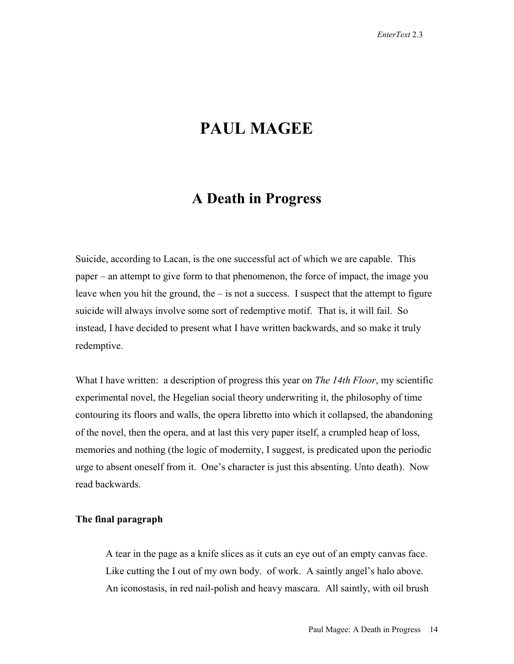# **PAUL MAGEE**

## **A Death in Progress**

Suicide, according to Lacan, is the one successful act of which we are capable. This paper – an attempt to give form to that phenomenon, the force of impact, the image you leave when you hit the ground, the  $-$  is not a success. I suspect that the attempt to figure suicide will always involve some sort of redemptive motif. That is, it will fail. So instead, I have decided to present what I have written backwards, and so make it truly redemptive.

What I have written: a description of progress this year on *The 14th Floor*, my scientific experimental novel, the Hegelian social theory underwriting it, the philosophy of time contouring its floors and walls, the opera libretto into which it collapsed, the abandoning of the novel, then the opera, and at last this very paper itself, a crumpled heap of loss, memories and nothing (the logic of modernity, I suggest, is predicated upon the periodic urge to absent oneself from it. One's character is just this absenting. Unto death). Now read backwards.

## **The final paragraph**

 A tear in the page as a knife slices as it cuts an eye out of an empty canvas face. Like cutting the I out of my own body. of work. A saintly angel's halo above. An iconostasis, in red nail-polish and heavy mascara. All saintly, with oil brush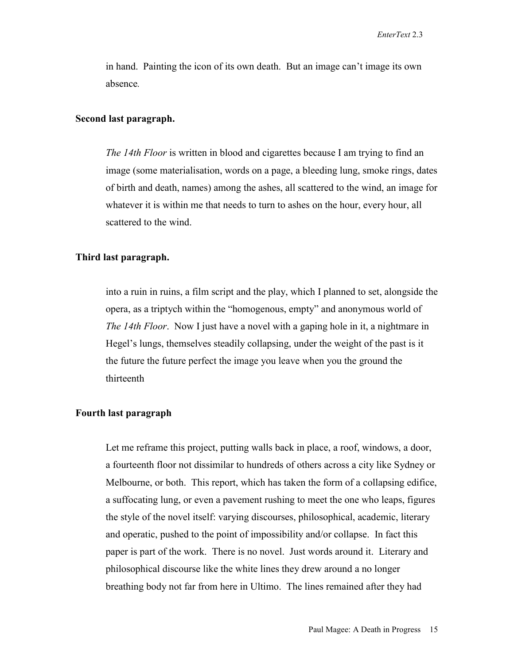in hand. Painting the icon of its own death. But an image can't image its own absence*.*

## **Second last paragraph.**

*The 14th Floor* is written in blood and cigarettes because I am trying to find an image (some materialisation, words on a page, a bleeding lung, smoke rings, dates of birth and death, names) among the ashes, all scattered to the wind, an image for whatever it is within me that needs to turn to ashes on the hour, every hour, all scattered to the wind.

#### **Third last paragraph.**

 into a ruin in ruins, a film script and the play, which I planned to set, alongside the opera, as a triptych within the "homogenous, empty" and anonymous world of *The 14th Floor*. Now I just have a novel with a gaping hole in it, a nightmare in Hegel's lungs, themselves steadily collapsing, under the weight of the past is it the future the future perfect the image you leave when you the ground the thirteenth

## **Fourth last paragraph**

 Let me reframe this project, putting walls back in place, a roof, windows, a door, a fourteenth floor not dissimilar to hundreds of others across a city like Sydney or Melbourne, or both. This report, which has taken the form of a collapsing edifice, a suffocating lung, or even a pavement rushing to meet the one who leaps, figures the style of the novel itself: varying discourses, philosophical, academic, literary and operatic, pushed to the point of impossibility and/or collapse. In fact this paper is part of the work. There is no novel. Just words around it. Literary and philosophical discourse like the white lines they drew around a no longer breathing body not far from here in Ultimo. The lines remained after they had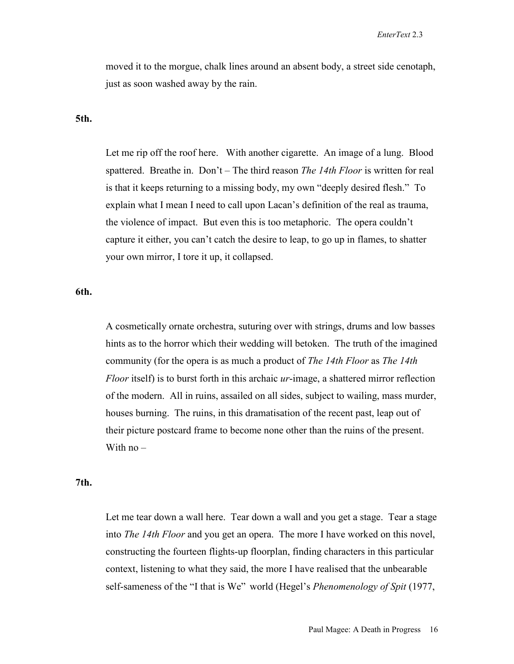moved it to the morgue, chalk lines around an absent body, a street side cenotaph, just as soon washed away by the rain.

#### **5th.**

 Let me rip off the roof here. With another cigarette. An image of a lung. Blood spattered. Breathe in. Don't – The third reason *The 14th Floor* is written for real is that it keeps returning to a missing body, my own "deeply desired flesh." To explain what I mean I need to call upon Lacan's definition of the real as trauma, the violence of impact. But even this is too metaphoric. The opera couldn't capture it either, you can't catch the desire to leap, to go up in flames, to shatter your own mirror, I tore it up, it collapsed.

## **6th.**

 A cosmetically ornate orchestra, suturing over with strings, drums and low basses hints as to the horror which their wedding will betoken. The truth of the imagined community (for the opera is as much a product of *The 14th Floor* as *The 14th Floor* itself) is to burst forth in this archaic *ur*-image, a shattered mirror reflection of the modern. All in ruins, assailed on all sides, subject to wailing, mass murder, houses burning. The ruins, in this dramatisation of the recent past, leap out of their picture postcard frame to become none other than the ruins of the present. With no –

#### **7th.**

 Let me tear down a wall here. Tear down a wall and you get a stage. Tear a stage into *The 14th Floor* and you get an opera. The more I have worked on this novel, constructing the fourteen flights-up floorplan, finding characters in this particular context, listening to what they said, the more I have realised that the unbearable self-sameness of the "I that is We" world (Hegel's *Phenomenology of Spit* (1977,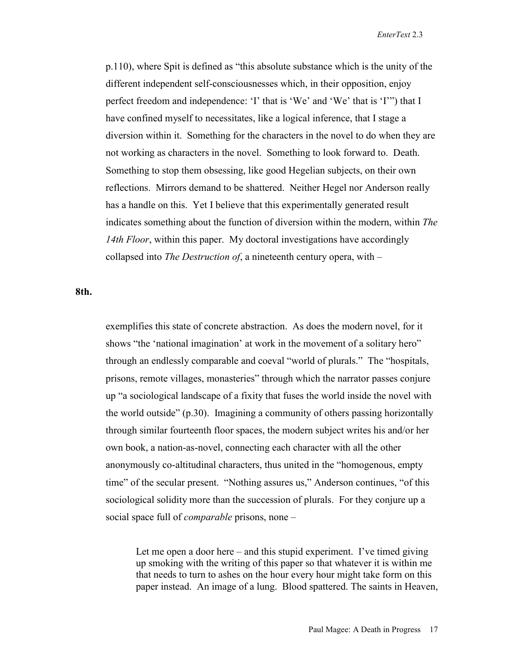p.110), where Spit is defined as "this absolute substance which is the unity of the different independent self-consciousnesses which, in their opposition, enjoy perfect freedom and independence: 'I' that is 'We' and 'We' that is 'I'") that I have confined myself to necessitates, like a logical inference, that I stage a diversion within it. Something for the characters in the novel to do when they are not working as characters in the novel. Something to look forward to. Death. Something to stop them obsessing, like good Hegelian subjects, on their own reflections. Mirrors demand to be shattered. Neither Hegel nor Anderson really has a handle on this. Yet I believe that this experimentally generated result indicates something about the function of diversion within the modern, within *The 14th Floor*, within this paper. My doctoral investigations have accordingly collapsed into *The Destruction of*, a nineteenth century opera, with –

## **8th.**

 exemplifies this state of concrete abstraction. As does the modern novel, for it shows "the 'national imagination' at work in the movement of a solitary hero" through an endlessly comparable and coeval "world of plurals." The "hospitals, prisons, remote villages, monasteries" through which the narrator passes conjure up "a sociological landscape of a fixity that fuses the world inside the novel with the world outside" (p.30). Imagining a community of others passing horizontally through similar fourteenth floor spaces, the modern subject writes his and/or her own book, a nation-as-novel, connecting each character with all the other anonymously co-altitudinal characters, thus united in the "homogenous, empty time" of the secular present. "Nothing assures us," Anderson continues, "of this sociological solidity more than the succession of plurals. For they conjure up a social space full of *comparable* prisons, none –

Let me open a door here – and this stupid experiment. I've timed giving up smoking with the writing of this paper so that whatever it is within me that needs to turn to ashes on the hour every hour might take form on this paper instead. An image of a lung. Blood spattered. The saints in Heaven,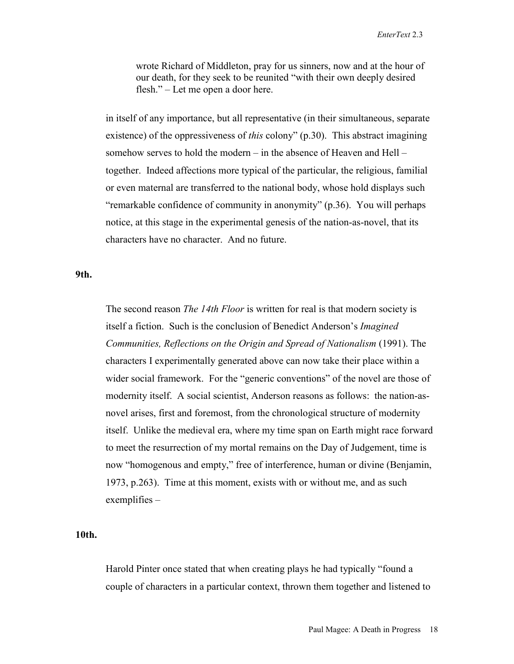wrote Richard of Middleton, pray for us sinners, now and at the hour of our death, for they seek to be reunited "with their own deeply desired flesh." – Let me open a door here.

 in itself of any importance, but all representative (in their simultaneous, separate existence) of the oppressiveness of *this* colony" (p.30). This abstract imagining somehow serves to hold the modern – in the absence of Heaven and Hell – together. Indeed affections more typical of the particular, the religious, familial or even maternal are transferred to the national body, whose hold displays such "remarkable confidence of community in anonymity" (p.36). You will perhaps notice, at this stage in the experimental genesis of the nation-as-novel, that its characters have no character. And no future.

**9th.**

 The second reason *The 14th Floor* is written for real is that modern society is itself a fiction. Such is the conclusion of Benedict Anderson's *Imagined Communities, Reflections on the Origin and Spread of Nationalism* (1991). The characters I experimentally generated above can now take their place within a wider social framework. For the "generic conventions" of the novel are those of modernity itself. A social scientist, Anderson reasons as follows: the nation-asnovel arises, first and foremost, from the chronological structure of modernity itself. Unlike the medieval era, where my time span on Earth might race forward to meet the resurrection of my mortal remains on the Day of Judgement, time is now "homogenous and empty," free of interference, human or divine (Benjamin, 1973, p.263). Time at this moment, exists with or without me, and as such exemplifies –

## **10th.**

 Harold Pinter once stated that when creating plays he had typically "found a couple of characters in a particular context, thrown them together and listened to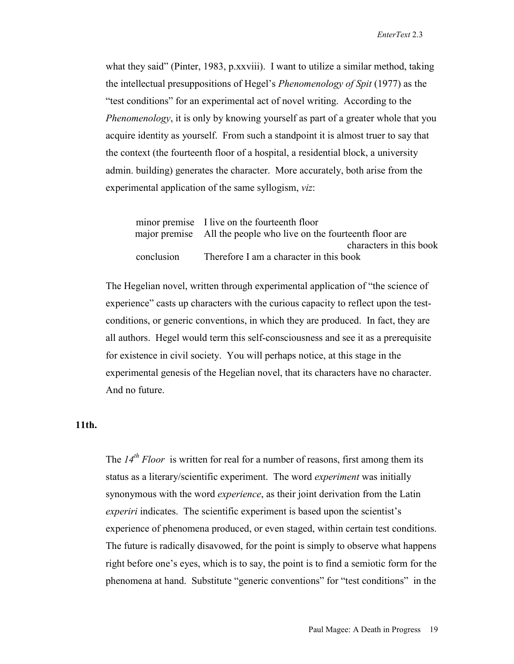what they said" (Pinter, 1983, p.xxviii). I want to utilize a similar method, taking the intellectual presuppositions of Hegel's *Phenomenology of Spit* (1977) as the "test conditions" for an experimental act of novel writing. According to the *Phenomenology*, it is only by knowing yourself as part of a greater whole that you acquire identity as yourself. From such a standpoint it is almost truer to say that the context (the fourteenth floor of a hospital, a residential block, a university admin. building) generates the character. More accurately, both arise from the experimental application of the same syllogism, *viz*:

|            | minor premise I live on the fourteenth floor                      |
|------------|-------------------------------------------------------------------|
|            | major premise All the people who live on the fourteenth floor are |
|            | characters in this book                                           |
| conclusion | Therefore I am a character in this book                           |

 The Hegelian novel, written through experimental application of "the science of experience" casts up characters with the curious capacity to reflect upon the testconditions, or generic conventions, in which they are produced. In fact, they are all authors. Hegel would term this self-consciousness and see it as a prerequisite for existence in civil society. You will perhaps notice, at this stage in the experimental genesis of the Hegelian novel, that its characters have no character. And no future.

## **11th.**

 The *14th Floor* is written for real for a number of reasons, first among them its status as a literary/scientific experiment. The word *experiment* was initially synonymous with the word *experience*, as their joint derivation from the Latin *experiri* indicates. The scientific experiment is based upon the scientist's experience of phenomena produced, or even staged, within certain test conditions. The future is radically disavowed, for the point is simply to observe what happens right before one's eyes, which is to say, the point is to find a semiotic form for the phenomena at hand. Substitute "generic conventions" for "test conditions" in the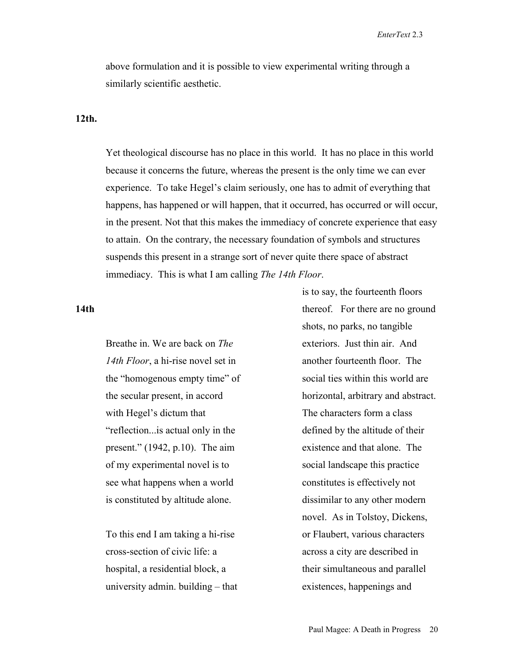above formulation and it is possible to view experimental writing through a similarly scientific aesthetic.

#### **12th.**

 Yet theological discourse has no place in this world. It has no place in this world because it concerns the future, whereas the present is the only time we can ever experience. To take Hegel's claim seriously, one has to admit of everything that happens, has happened or will happen, that it occurred, has occurred or will occur, in the present. Not that this makes the immediacy of concrete experience that easy to attain. On the contrary, the necessary foundation of symbols and structures suspends this present in a strange sort of never quite there space of abstract immediacy. This is what I am calling *The 14th Floor*.

## **14th**

 Breathe in. We are back on *The 14th Floor*, a hi-rise novel set in the "homogenous empty time" of the secular present, in accord with Hegel's dictum that "reflection...is actual only in the present." (1942, p.10). The aim of my experimental novel is to see what happens when a world is constituted by altitude alone.

 To this end I am taking a hi-rise cross-section of civic life: a hospital, a residential block, a university admin. building – that is to say, the fourteenth floors thereof. For there are no ground shots, no parks, no tangible exteriors. Just thin air. And another fourteenth floor. The social ties within this world are horizontal, arbitrary and abstract. The characters form a class defined by the altitude of their existence and that alone. The social landscape this practice constitutes is effectively not dissimilar to any other modern novel. As in Tolstoy, Dickens, or Flaubert, various characters across a city are described in their simultaneous and parallel existences, happenings and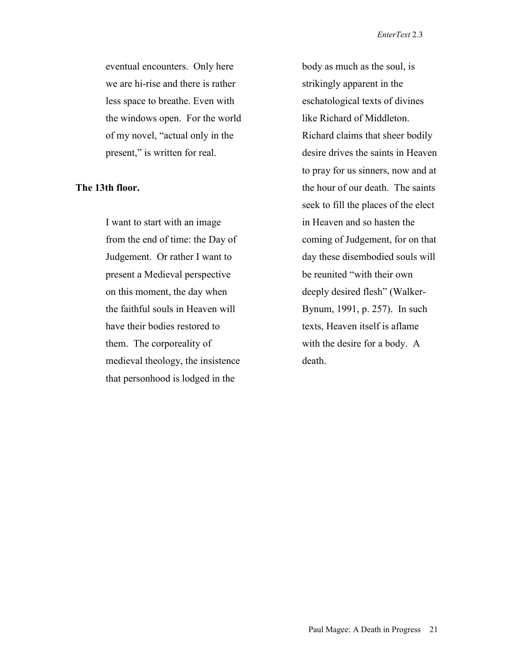eventual encounters. Only here we are hi-rise and there is rather less space to breathe. Even with the windows open. For the world of my novel, "actual only in the present," is written for real.

## **The 13th floor.**

 I want to start with an image from the end of time: the Day of Judgement. Or rather I want to present a Medieval perspective on this moment, the day when the faithful souls in Heaven will have their bodies restored to them. The corporeality of medieval theology, the insistence that personhood is lodged in the

body as much as the soul, is strikingly apparent in the eschatological texts of divines like Richard of Middleton. Richard claims that sheer bodily desire drives the saints in Heaven to pray for us sinners, now and at the hour of our death. The saints seek to fill the places of the elect in Heaven and so hasten the coming of Judgement, for on that day these disembodied souls will be reunited "with their own deeply desired flesh" (Walker-Bynum, 1991, p. 257). In such texts, Heaven itself is aflame with the desire for a body. A death.